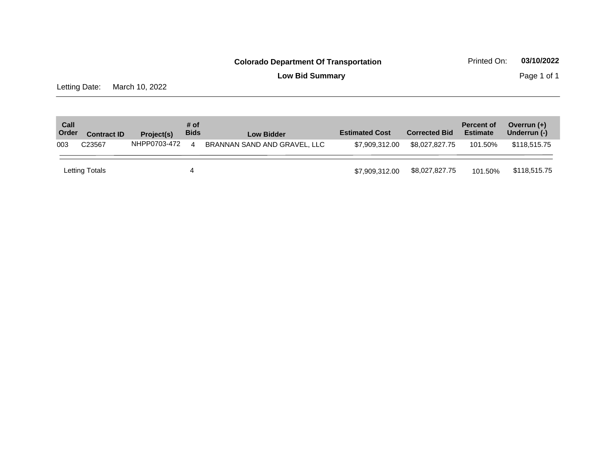**Low Bid Summary Page 1 of 1** 

Letting Date: March 10, 2022

| Call<br>Order | <b>Contract ID</b> | Project(s)   | # of<br><b>Bids</b>    | <b>Low Bidder</b>            | <b>Estimated Cost</b> | <b>Corrected Bid</b> | <b>Percent of</b><br><b>Estimate</b> | Overrun $(+)$<br>Underrun (-) |
|---------------|--------------------|--------------|------------------------|------------------------------|-----------------------|----------------------|--------------------------------------|-------------------------------|
| 003           | C23567             | NHPP0703-472 | $\boldsymbol{\Lambda}$ | BRANNAN SAND AND GRAVEL, LLC | \$7.909.312.00        | \$8.027.827.75       | 101.50%                              | \$118,515,75                  |
|               | Letting Totals     |              | 4                      |                              | \$7,909,312,00        | \$8,027,827.75       | 101.50%                              | \$118,515.75                  |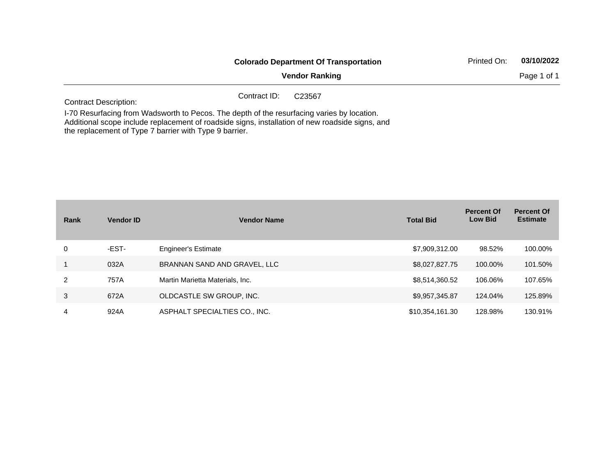|                                                                                                |              | <b>Colorado Department Of Transportation</b> | Printed On: | 03/10/2022  |
|------------------------------------------------------------------------------------------------|--------------|----------------------------------------------|-------------|-------------|
|                                                                                                |              | <b>Vendor Ranking</b>                        |             | Page 1 of 1 |
| <b>Contract Description:</b>                                                                   | Contract ID: | C <sub>23567</sub>                           |             |             |
| 1 70 Boston (and Michael Michael Boston The Holl of the second state of the Holl of the London |              |                                              |             |             |

I-70 Resurfacing from Wadsworth to Pecos. The depth of the resurfacing varies by location. Additional scope include replacement of roadside signs, installation of new roadside signs, and the replacement of Type 7 barrier with Type 9 barrier.

| Rank | <b>Vendor ID</b> | <b>Vendor Name</b>              | <b>Total Bid</b> | <b>Percent Of</b><br><b>Low Bid</b> | <b>Percent Of</b><br><b>Estimate</b> |
|------|------------------|---------------------------------|------------------|-------------------------------------|--------------------------------------|
| 0    | -EST-            | <b>Engineer's Estimate</b>      | \$7,909,312.00   | 98.52%                              | 100.00%                              |
|      | 032A             | BRANNAN SAND AND GRAVEL, LLC    | \$8,027,827.75   | 100.00%                             | 101.50%                              |
| 2    | 757A             | Martin Marietta Materials, Inc. | \$8,514,360.52   | 106.06%                             | 107.65%                              |
| 3    | 672A             | OLDCASTLE SW GROUP, INC.        | \$9,957,345.87   | 124.04%                             | 125.89%                              |
| 4    | 924A             | ASPHALT SPECIALTIES CO., INC.   | \$10,354,161.30  | 128.98%                             | 130.91%                              |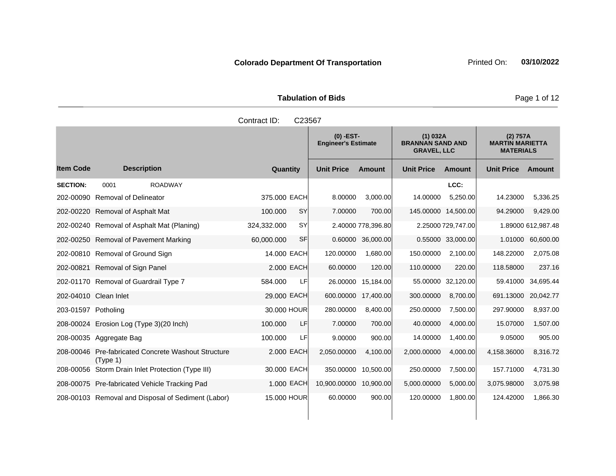|                     | <b>Tabulation of Bids</b> |
|---------------------|---------------------------|
| Contract ID: C23567 |                           |

**Quantity Unit Price Unit Price Item Code Amount Unit Price Amount Ext Ext Unit Price Amount Ext (0) -EST-Engineer's Estimate (1) 032A BRANNAN SAND AND GRAVEL, LLC (2) 757A MARTIN MARIETTA MATERIALS Description SECTION:** 0001 ROADWAY **LCC:** 202-00090 Removal of Delineator 375.000 EACH 8.00000 3,000.00 14.00000 5,250.00 14.23000 5,336.25 202-00220 Removal of Asphalt Mat 100.000 SY 7.00000 700.00 145.00000 14,500.00 94.29000 9,429.00 202-00240 Removal of Asphalt Mat (Planing) 324,332.000 SY 2.40000 778,396.80 2.25000 729,747.00 1.89000 612,987.48 202-00250 Removal of Pavement Marking 60,000.000 SF 0.60000 36,000.00 0.55000 33,000.00 1.01000 60,600.00 202-00810 Removal of Ground Sign 14.000 EACH 120.00000 1,680.00 150.00000 2,100.00 148.22000 2,075.08 202-00821 Removal of Sign Panel 2.000 EACH 60.00000 120.00 110.00000 220.00 118.58000 237.16 202-01170 Removal of Guardrail Type 7 684.000 LF 26.00000 15,184.00 55.00000 32,120.00 59.41000 34,695.44 202-04010 Clean Inlet 29.000 EACH 600.00000 17,400.00 300.00000 8,700.00 691.13000 20,042.77 203-01597 Potholing 30.000 HOUR 280.00000 8,400.00 250.00000 7,500.00 297.90000 8,937.00 208-00024 Erosion Log (Type 3)(20 Inch) 100.000 LF 7.00000 700.00 40.00000 4,000.00 15.07000 1,507.00 208-00035 Aggregate Bag 100.000 LF 9.00000 900.00 14.00000 1,400.00 9.05000 905.00 208-00046 Pre-fabricated Concrete Washout Structure (Type 1) 2.000 EACH 2,050.00000 4,100.00 2,000.00000 4,000.00 4,158.36000 8,316.72 208-00056 Storm Drain Inlet Protection (Type III) 30.000 EACH 350.00000 10,500.00 250.00000 7,500.00 157.71000 4,731.30 208-00075 Pre-fabricated Vehicle Tracking Pad 1.000 EACH 10,900.00000 10,900.00 5,000.00000 5,000.00 3,075.98000 3,075.98 208-00103 Removal and Disposal of Sediment (Labor) 15.000 HOUR 60.00000 900.00 120.00000 1,800.00 124.42000 1,866.30

Page 1 of 12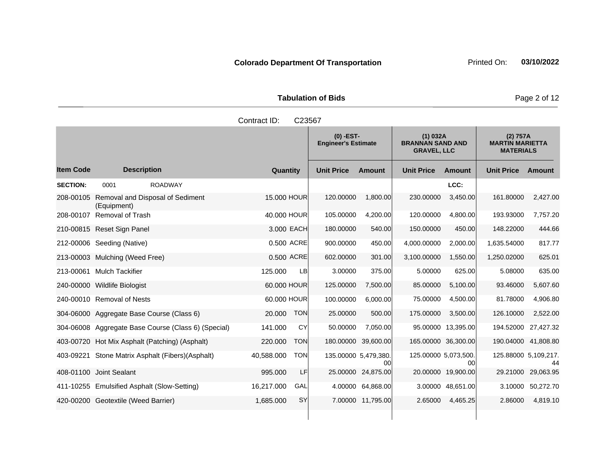|                  |                                                     | Contract ID:             | C23567                                    |                            |                                                           |                            |                                                        |               |
|------------------|-----------------------------------------------------|--------------------------|-------------------------------------------|----------------------------|-----------------------------------------------------------|----------------------------|--------------------------------------------------------|---------------|
|                  |                                                     |                          | $(0)$ -EST-<br><b>Engineer's Estimate</b> |                            | (1) 032A<br><b>BRANNAN SAND AND</b><br><b>GRAVEL, LLC</b> |                            | (2) 757A<br><b>MARTIN MARIETTA</b><br><b>MATERIALS</b> |               |
| <b>Item Code</b> | <b>Description</b>                                  | Quantity                 | <b>Unit Price</b>                         | <b>Amount</b>              | <b>Unit Price</b>                                         | <b>Amount</b>              | <b>Unit Price</b>                                      | <b>Amount</b> |
| <b>SECTION:</b>  | <b>ROADWAY</b><br>0001                              |                          |                                           |                            |                                                           | LCC:                       |                                                        |               |
| 208-00105        | Removal and Disposal of Sediment<br>(Equipment)     | 15,000 HOUR              | 120.00000                                 | 1,800.00                   | 230.00000                                                 | 3,450.00                   | 161.80000                                              | 2,427.00      |
| 208-00107        | Removal of Trash                                    | 40.000 HOUR              | 105.00000                                 | 4,200.00                   | 120.00000                                                 | 4,800.00                   | 193.93000                                              | 7,757.20      |
|                  | 210-00815 Reset Sign Panel                          | 3.000 EACH               | 180.00000                                 | 540.00                     | 150.00000                                                 | 450.00                     | 148.22000                                              | 444.66        |
|                  | 212-00006 Seeding (Native)                          | 0.500 ACRE               | 900.00000                                 | 450.00                     | 4,000.00000                                               | 2,000.00                   | 1,635.54000                                            | 817.77        |
|                  | 213-00003 Mulching (Weed Free)                      | 0.500 ACRE               | 602.00000                                 | 301.00                     | 3,100.00000                                               | 1,550.00                   | 1,250.02000                                            | 625.01        |
|                  | 213-00061 Mulch Tackifier                           | 125.000<br>LB            | 3.00000                                   | 375.00                     | 5.00000                                                   | 625.00                     | 5.08000                                                | 635.00        |
|                  | 240-00000 Wildlife Biologist                        | 60.000 HOUR              | 125.00000                                 | 7,500.00                   | 85.00000                                                  | 5,100.00                   | 93.46000                                               | 5,607.60      |
|                  | 240-00010 Removal of Nests                          | 60.000 HOUR              | 100.00000                                 | 6,000.00                   | 75.00000                                                  | 4,500.00                   | 81.78000                                               | 4,906.80      |
|                  | 304-06000 Aggregate Base Course (Class 6)           | <b>TON</b><br>20.000     | 25.00000                                  | 500.00                     | 175.00000                                                 | 3,500.00                   | 126.10000                                              | 2,522.00      |
|                  | 304-06008 Aggregate Base Course (Class 6) (Special) | 141.000<br><b>CY</b>     | 50.00000                                  | 7,050.00                   |                                                           | 95.00000 13,395.00         | 194.52000                                              | 27,427.32     |
|                  | 403-00720 Hot Mix Asphalt (Patching) (Asphalt)      | 220.000<br><b>TON</b>    |                                           | 180.00000 39,600.00        |                                                           | 165.00000 36,300.00        | 190.04000                                              | 41,808.80     |
|                  | 403-09221 Stone Matrix Asphalt (Fibers) (Asphalt)   | 40,588.000<br><b>TON</b> |                                           | 135.00000 5,479,380.<br>00 |                                                           | 125.00000 5.073.500.<br>00 | 125.88000 5,109,217.                                   | 44            |
|                  | 408-01100 Joint Sealant                             | LF<br>995.000            |                                           | 25.00000 24,875.00         |                                                           | 20.00000 19,900.00         | 29.21000                                               | 29,063.95     |
|                  | 411-10255 Emulsified Asphalt (Slow-Setting)         | 16,217.000<br>GAL        |                                           | 4.00000 64,868.00          |                                                           | 3.00000 48,651.00          | 3.10000                                                | 50,272.70     |
|                  | 420-00200 Geotextile (Weed Barrier)                 | <b>SY</b><br>1,685.000   |                                           | 7.00000 11,795.00          | 2.65000                                                   | 4,465.25                   | 2.86000                                                | 4,819.10      |
|                  |                                                     |                          |                                           |                            |                                                           |                            |                                                        |               |

**Tabulation of Bids Page 2 of 12**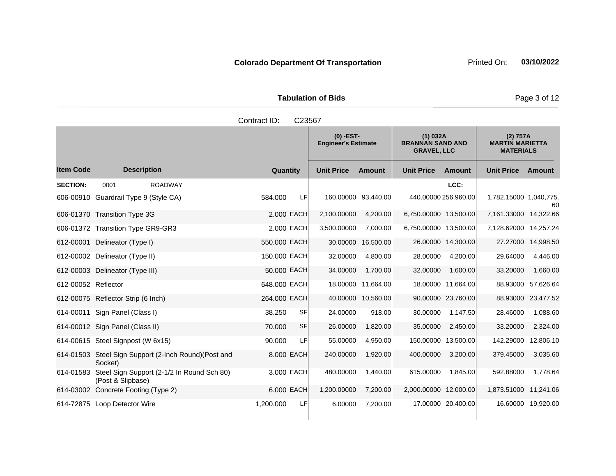|                     | <b>Tabulation of Bids</b> |                 |
|---------------------|---------------------------|-----------------|
| Contract ID: C23567 |                           |                 |
|                     | $(0)$ $EST$               | <b>11) 0328</b> |

|                     |                                                                  |                 | $(0)$ -EST-<br><b>Engineer's Estimate</b> |               | (1) 032A<br><b>BRANNAN SAND AND</b><br><b>GRAVEL, LLC</b> |                      | (2) 757A<br><b>MARTIN MARIETTA</b><br><b>MATERIALS</b> |                    |
|---------------------|------------------------------------------------------------------|-----------------|-------------------------------------------|---------------|-----------------------------------------------------------|----------------------|--------------------------------------------------------|--------------------|
| <b>Item Code</b>    | <b>Description</b>                                               | Quantity        | <b>Unit Price</b>                         | <b>Amount</b> | <b>Unit Price</b>                                         | <b>Amount</b>        | <b>Unit Price</b>                                      | Amount             |
| <b>SECTION:</b>     | 0001<br><b>ROADWAY</b>                                           |                 |                                           |               |                                                           | LCC:                 |                                                        |                    |
|                     | 606-00910 Guardrail Type 9 (Style CA)                            | LF<br>584.000   | 160.00000 93,440.00                       |               |                                                           | 440.00000 256,960.00 | 1,782.15000 1,040,775.                                 | 60                 |
|                     | 606-01370 Transition Type 3G                                     | 2.000 EACH      | 2,100.00000                               | 4,200.00      | 6,750.00000 13,500.00                                     |                      | 7,161.33000 14,322.66                                  |                    |
|                     | 606-01372 Transition Type GR9-GR3                                | 2.000 EACH      | 3,500.00000                               | 7,000.00      | 6,750.00000 13,500.00                                     |                      | 7,128.62000 14,257.24                                  |                    |
| 612-00001           | Delineator (Type I)                                              | 550,000 EACH    | 30.00000                                  | 16,500.00     |                                                           | 26.00000 14,300.00   | 27.27000                                               | 14,998.50          |
|                     | 612-00002 Delineator (Type II)                                   | 150.000 EACH    | 32.00000                                  | 4,800.00      | 28.00000                                                  | 4,200.00             | 29.64000                                               | 4,446.00           |
|                     | 612-00003 Delineator (Type III)                                  | 50.000 EACH     | 34.00000                                  | 1,700.00      | 32.00000                                                  | 1,600.00             | 33.20000                                               | 1,660.00           |
| 612-00052 Reflector |                                                                  | 648.000 EACH    | 18.00000                                  | 11,664.00     |                                                           | 18.00000 11,664.00   | 88.93000                                               | 57,626.64          |
|                     | 612-00075 Reflector Strip (6 Inch)                               | 264,000 EACH    | 40.00000                                  | 10,560.00     |                                                           | 90.00000 23,760.00   | 88.93000                                               | 23,477.52          |
|                     | 614-00011 Sign Panel (Class I)                                   | SF<br>38.250    | 24.00000                                  | 918.00        | 30.00000                                                  | 1.147.50             | 28.46000                                               | 1,088.60           |
|                     | 614-00012 Sign Panel (Class II)                                  | 70.000<br>SF    | 26.00000                                  | 1,820.00      | 35.00000                                                  | 2,450.00             | 33.20000                                               | 2,324.00           |
|                     | 614-00615 Steel Signpost (W 6x15)                                | 90.000<br>LF    | 55.00000                                  | 4,950.00      | 150.00000                                                 | 13,500.00            | 142.29000                                              | 12,806.10          |
|                     | 614-01503 Steel Sign Support (2-Inch Round) (Post and<br>Socket) | 8.000 EACH      | 240.00000                                 | 1,920.00      | 400.00000                                                 | 3,200.00             | 379.45000                                              | 3,035.60           |
| 614-01583           | Steel Sign Support (2-1/2 In Round Sch 80)<br>(Post & Slipbase)  | 3.000 EACH      | 480.00000                                 | 1,440.00      | 615.00000                                                 | 1,845.00             | 592.88000                                              | 1,778.64           |
|                     | 614-03002 Concrete Footing (Type 2)                              | 6.000 EACH      | 1,200.00000                               | 7,200.00      | 2,000.00000 12,000.00                                     |                      | 1,873.51000 11,241.06                                  |                    |
|                     | 614-72875 Loop Detector Wire                                     | 1,200.000<br>LF | 6.00000                                   | 7,200.00      |                                                           | 17.00000 20,400.00   |                                                        | 16.60000 19,920.00 |

٠

**Page 3 of 12**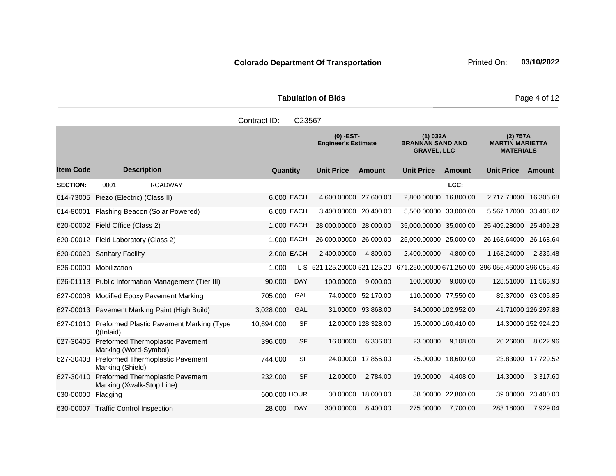Tabulation of Bids **Page 4 of 12** 

|                  |                                                                      | Contract ID: | C23567     |                                           |                     |                                                           |                     |                                                        |                     |
|------------------|----------------------------------------------------------------------|--------------|------------|-------------------------------------------|---------------------|-----------------------------------------------------------|---------------------|--------------------------------------------------------|---------------------|
|                  |                                                                      |              |            | $(0)$ -EST-<br><b>Engineer's Estimate</b> |                     | (1) 032A<br><b>BRANNAN SAND AND</b><br><b>GRAVEL, LLC</b> |                     | (2) 757A<br><b>MARTIN MARIETTA</b><br><b>MATERIALS</b> |                     |
| <b>Item Code</b> | <b>Description</b>                                                   | Quantity     |            | <b>Unit Price</b>                         | <b>Amount</b>       | <b>Unit Price</b>                                         | <b>Amount</b>       | <b>Unit Price</b>                                      | Amount              |
| <b>SECTION:</b>  | <b>ROADWAY</b><br>0001                                               |              |            |                                           |                     |                                                           | LCC:                |                                                        |                     |
|                  | 614-73005 Piezo (Electric) (Class II)                                |              | 6.000 EACH | 4,600.00000 27,600.00                     |                     | 2,800.00000                                               | 16,800.00           | 2,717.78000                                            | 16,306.68           |
|                  | 614-80001 Flashing Beacon (Solar Powered)                            |              | 6.000 EACH | 3,400.00000 20,400.00                     |                     | 5,500.00000 33,000.00                                     |                     | 5,567.17000 33,403.02                                  |                     |
|                  | 620-00002 Field Office (Class 2)                                     |              | 1.000 EACH | 28,000.00000 28,000.00                    |                     | 35,000.00000 35,000.00                                    |                     | 25,409.28000 25,409.28                                 |                     |
|                  | 620-00012 Field Laboratory (Class 2)                                 |              | 1.000 EACH | 26,000.00000 26,000.00                    |                     | 25,000.00000 25,000.00                                    |                     | 26,168.64000 26,168.64                                 |                     |
|                  | 620-00020 Sanitary Facility                                          |              | 2.000 EACH | 2,400.00000                               | 4,800.00            | 2,400.00000                                               | 4,800.00            | 1,168.24000                                            | 2,336.48            |
|                  | 626-00000 Mobilization                                               | 1.000        |            | L S 521,125.20000 521,125.20              |                     | 671,250.00000 671,250.00                                  |                     | 396,055.46000 396,055.46                               |                     |
|                  | 626-01113 Public Information Management (Tier III)                   | 90.000       | <b>DAY</b> | 100.00000                                 | 9,000.00            | 100.00000                                                 | 9,000.00            |                                                        | 128.51000 11,565.90 |
|                  | 627-00008 Modified Epoxy Pavement Marking                            | 705.000      | GAL        |                                           | 74.00000 52,170.00  |                                                           | 110.00000 77,550.00 |                                                        | 89.37000 63,005.85  |
|                  | 627-00013 Pavement Marking Paint (High Build)                        | 3,028.000    | GAL        |                                           | 31.00000 93,868.00  |                                                           | 34.00000 102,952.00 |                                                        | 41.71000 126,297.88 |
|                  | 627-01010 Preformed Plastic Pavement Marking (Type<br>$l$ )(Inlaid)  | 10,694.000   | SF         |                                           | 12.00000 128,328.00 |                                                           | 15.00000 160,410.00 |                                                        | 14.30000 152,924.20 |
| 627-30405        | Preformed Thermoplastic Pavement<br>Marking (Word-Symbol)            | 396.000      | SF         | 16.00000                                  | 6,336.00            | 23.00000                                                  | 9,108.00            | 20.26000                                               | 8,022.96            |
| 627-30408        | <b>Preformed Thermoplastic Pavement</b><br>Marking (Shield)          | 744.000      | SFI        |                                           | 24.00000 17,856.00  |                                                           | 25.00000 18,600.00  | 23.83000                                               | 17,729.52           |
| 627-30410        | <b>Preformed Thermoplastic Pavement</b><br>Marking (Xwalk-Stop Line) | 232,000      | SF         | 12.00000                                  | 2,784.00            | 19.00000                                                  | 4,408.00            | 14.30000                                               | 3,317.60            |
| 630-00000        | Flagging                                                             | 600.000 HOUR |            | 30.00000                                  | 18,000.00           |                                                           | 38.00000 22,800.00  | 39.00000                                               | 23,400.00           |
|                  | 630-00007 Traffic Control Inspection                                 | 28.000       | <b>DAY</b> | 300.00000                                 | 8,400.00            | 275.00000                                                 | 7,700.00            | 283.18000                                              | 7,929.04            |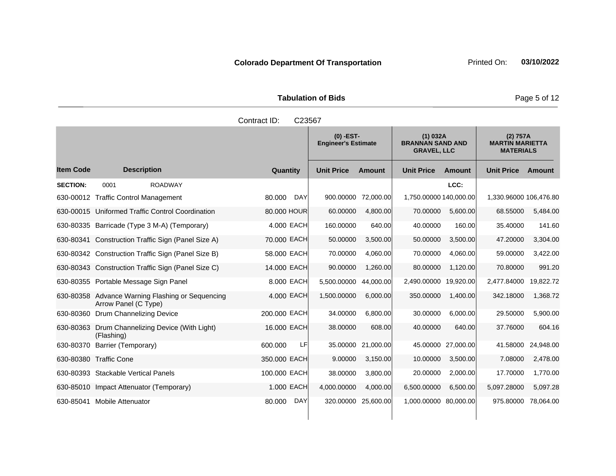|                        | <b>Tabulation of Bids</b> |
|------------------------|---------------------------|
| Contract $ID: C.23567$ |                           |

|                  |                                                                          |               | ◡▵◡◡៸                                     |               |                                                           |                    |                                                        |               |
|------------------|--------------------------------------------------------------------------|---------------|-------------------------------------------|---------------|-----------------------------------------------------------|--------------------|--------------------------------------------------------|---------------|
|                  |                                                                          |               | $(0)$ -EST-<br><b>Engineer's Estimate</b> |               | (1) 032A<br><b>BRANNAN SAND AND</b><br><b>GRAVEL, LLC</b> |                    | (2) 757A<br><b>MARTIN MARIETTA</b><br><b>MATERIALS</b> |               |
| <b>Item Code</b> | <b>Description</b>                                                       | Quantity      | <b>Unit Price</b>                         | <b>Amount</b> | <b>Unit Price</b>                                         | <b>Amount</b>      | <b>Unit Price</b>                                      | <b>Amount</b> |
| <b>SECTION:</b>  | <b>ROADWAY</b><br>0001                                                   |               |                                           |               |                                                           | LCC:               |                                                        |               |
|                  | 630-00012 Traffic Control Management                                     | 80.000<br>DAY | 900.00000                                 | 72,000.00     | 1,750.00000 140,000.00                                    |                    | 1,330.96000 106,476.80                                 |               |
|                  | 630-00015 Uniformed Traffic Control Coordination                         | 80.000 HOUR   | 60.00000                                  | 4,800.00      | 70.00000                                                  | 5,600.00           | 68.55000                                               | 5,484.00      |
|                  | 630-80335 Barricade (Type 3 M-A) (Temporary)                             | 4.000 EACH    | 160.00000                                 | 640.00        | 40.00000                                                  | 160.00             | 35.40000                                               | 141.60        |
|                  | 630-80341 Construction Traffic Sign (Panel Size A)                       | 70.000 EACH   | 50.00000                                  | 3,500.00      | 50.00000                                                  | 3.500.00           | 47.20000                                               | 3,304.00      |
|                  | 630-80342 Construction Traffic Sign (Panel Size B)                       | 58.000 EACH   | 70.00000                                  | 4,060.00      | 70.00000                                                  | 4,060.00           | 59.00000                                               | 3,422.00      |
|                  | 630-80343 Construction Traffic Sign (Panel Size C)                       | 14.000 EACH   | 90.00000                                  | 1,260.00      | 80.00000                                                  | 1.120.00           | 70.80000                                               | 991.20        |
|                  | 630-80355 Portable Message Sign Panel                                    | 8.000 EACH    | 5,500.00000                               | 44,000.00     | 2,490.00000                                               | 19,920.00          | 2,477.84000                                            | 19,822.72     |
|                  | 630-80358 Advance Warning Flashing or Sequencing<br>Arrow Panel (C Type) | 4.000 EACH    | 1,500.00000                               | 6,000.00      | 350.00000                                                 | 1,400.00           | 342.18000                                              | 1,368.72      |
|                  | 630-80360 Drum Channelizing Device                                       | 200.000 EACH  | 34.00000                                  | 6,800.00      | 30.00000                                                  | 6,000.00           | 29.50000                                               | 5,900.00      |
|                  | 630-80363 Drum Channelizing Device (With Light)<br>(Flashing)            | 16,000 EACH   | 38.00000                                  | 608.00        | 40.00000                                                  | 640.00             | 37.76000                                               | 604.16        |
| 630-80370        | Barrier (Temporary)                                                      | 600.000<br>LF | 35.00000                                  | 21,000.00     |                                                           | 45.00000 27,000.00 | 41.58000                                               | 24,948.00     |
|                  | 630-80380 Traffic Cone                                                   | 350.000 EACH  | 9.00000                                   | 3,150.00      | 10.00000                                                  | 3,500.00           | 7.08000                                                | 2,478.00      |
|                  | 630-80393 Stackable Vertical Panels                                      | 100.000 EACH  | 38.00000                                  | 3,800.00      | 20.00000                                                  | 2,000.00           | 17.70000                                               | 1,770.00      |
|                  | 630-85010 Impact Attenuator (Temporary)                                  | 1.000 EACH    | 4,000.00000                               | 4.000.00      | 6,500.00000                                               | 6,500.00           | 5,097.28000                                            | 5,097.28      |
|                  | 630-85041 Mobile Attenuator                                              | 80.000<br>DAY | 320.00000                                 | 25,600.00     | 1,000.00000 80,000.00                                     |                    | 975.80000                                              | 78,064.00     |

**Page 5 of 12**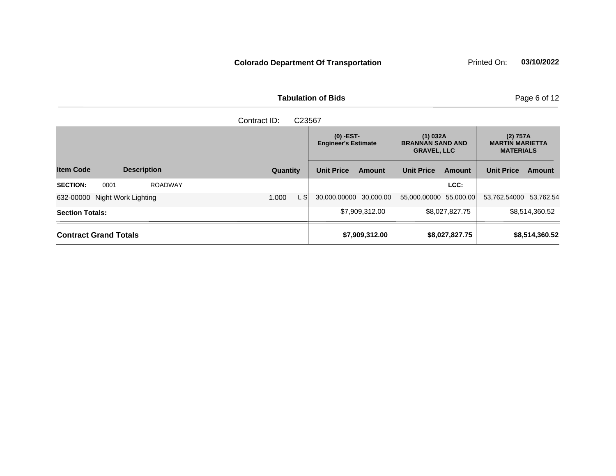**Tabulation of Bids Page 6 of 12** 

|                                           | Contract ID:<br>C <sub>23567</sub> |                                           |                |                   |                |                   |                |  |  |                                                           |  |                                                        |  |
|-------------------------------------------|------------------------------------|-------------------------------------------|----------------|-------------------|----------------|-------------------|----------------|--|--|-----------------------------------------------------------|--|--------------------------------------------------------|--|
|                                           |                                    | $(0)$ -EST-<br><b>Engineer's Estimate</b> |                |                   |                |                   |                |  |  | (1) 032A<br><b>BRANNAN SAND AND</b><br><b>GRAVEL, LLC</b> |  | (2) 757A<br><b>MARTIN MARIETTA</b><br><b>MATERIALS</b> |  |
| <b>Item Code</b><br><b>Description</b>    | Quantity                           | <b>Unit Price</b>                         | Amount         | <b>Unit Price</b> | Amount         | <b>Unit Price</b> | Amount         |  |  |                                                           |  |                                                        |  |
| <b>SECTION:</b><br><b>ROADWAY</b><br>0001 |                                    |                                           |                |                   | LCC:           |                   |                |  |  |                                                           |  |                                                        |  |
| 632-00000<br>Night Work Lighting          | L Sl<br>1.000                      | 30,000.00000 30,000.00                    |                | 55,000.00000      | 55,000.00      | 53,762.54000      | 53.762.54      |  |  |                                                           |  |                                                        |  |
| <b>Section Totals:</b>                    |                                    |                                           | \$7,909,312.00 |                   | \$8,027,827.75 |                   | \$8,514,360.52 |  |  |                                                           |  |                                                        |  |
| <b>Contract Grand Totals</b>              |                                    |                                           | \$7,909,312.00 |                   | \$8,027,827.75 |                   | \$8,514,360.52 |  |  |                                                           |  |                                                        |  |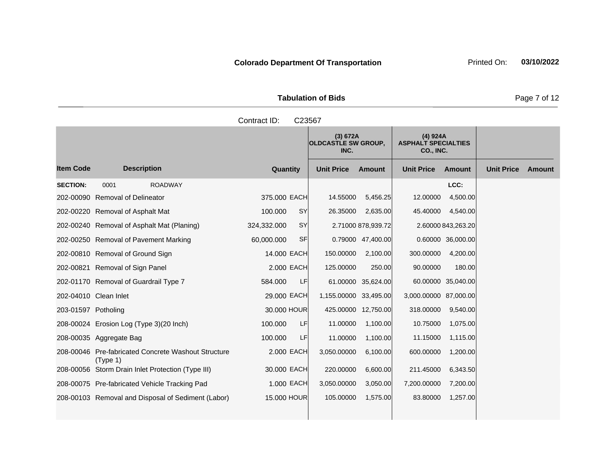|                     | <b>Tabulation of Bids</b> |          |
|---------------------|---------------------------|----------|
| Contract ID: C23567 |                           |          |
|                     | (3) 672A                  | (4) 924A |

|                     |                                                                 |                          | (3) 672A<br><b>OLDCASTLE SW GROUP,</b><br>INC. |                     | $(4)$ 924A<br><b>ASPHALT SPECIALTIES</b><br>CO., INC. |                    |                   |               |
|---------------------|-----------------------------------------------------------------|--------------------------|------------------------------------------------|---------------------|-------------------------------------------------------|--------------------|-------------------|---------------|
| <b>Item Code</b>    | <b>Description</b>                                              | Quantity                 | <b>Unit Price</b>                              | <b>Amount</b>       | <b>Unit Price</b>                                     | <b>Amount</b>      | <b>Unit Price</b> | <b>Amount</b> |
| <b>SECTION:</b>     | 0001<br><b>ROADWAY</b>                                          |                          |                                                |                     |                                                       | LCC:               |                   |               |
| 202-00090           | <b>Removal of Delineator</b>                                    | 375.000 EACH             | 14.55000                                       | 5,456.25            | 12.00000                                              | 4,500.00           |                   |               |
|                     | 202-00220 Removal of Asphalt Mat                                | SY<br>100.000            | 26.35000                                       | 2,635.00            | 45.40000                                              | 4,540.00           |                   |               |
|                     | 202-00240 Removal of Asphalt Mat (Planing)                      | <b>SY</b><br>324,332.000 |                                                | 2.71000 878,939.72  |                                                       | 2.60000 843,263.20 |                   |               |
|                     | 202-00250 Removal of Pavement Marking                           | 60,000.000<br><b>SF</b>  |                                                | 0.79000 47,400.00   |                                                       | 0.60000 36,000.00  |                   |               |
|                     | 202-00810 Removal of Ground Sign                                | 14,000 EACH              | 150.00000                                      | 2,100.00            | 300.00000                                             | 4,200.00           |                   |               |
|                     | 202-00821 Removal of Sign Panel                                 | 2.000 EACH               | 125.00000                                      | 250.00              | 90.00000                                              | 180.00             |                   |               |
|                     | 202-01170 Removal of Guardrail Type 7                           | LF<br>584.000            |                                                | 61.00000 35,624.00  |                                                       | 60.00000 35,040.00 |                   |               |
|                     | 202-04010 Clean Inlet                                           | 29.000 EACH              | 1,155.00000 33,495.00                          |                     | 3,000.00000                                           | 87,000.00          |                   |               |
| 203-01597 Potholing |                                                                 | 30,000 HOUR              |                                                | 425.00000 12,750.00 | 318.00000                                             | 9,540.00           |                   |               |
|                     | 208-00024 Erosion Log (Type 3)(20 Inch)                         | LF<br>100.000            | 11.00000                                       | 1,100.00            | 10.75000                                              | 1,075.00           |                   |               |
|                     | 208-00035 Aggregate Bag                                         | LF<br>100.000            | 11.00000                                       | 1,100.00            | 11.15000                                              | 1,115.00           |                   |               |
|                     | 208-00046 Pre-fabricated Concrete Washout Structure<br>(Type 1) | 2.000 EACH               | 3,050.00000                                    | 6,100.00            | 600.00000                                             | 1,200.00           |                   |               |
|                     | 208-00056 Storm Drain Inlet Protection (Type III)               | 30.000 EACH              | 220.00000                                      | 6,600.00            | 211.45000                                             | 6,343.50           |                   |               |
|                     | 208-00075 Pre-fabricated Vehicle Tracking Pad                   | 1.000 EACH               | 3,050.00000                                    | 3,050.00            | 7,200.00000                                           | 7,200.00           |                   |               |
|                     | 208-00103 Removal and Disposal of Sediment (Labor)              | 15.000 HOUR              | 105.00000                                      | 1,575.00            | 83.80000                                              | 1,257.00           |                   |               |
|                     |                                                                 |                          |                                                |                     |                                                       |                    |                   |               |

**Page 7 of 12** 

 $\mathcal{L}(\mathcal{A})$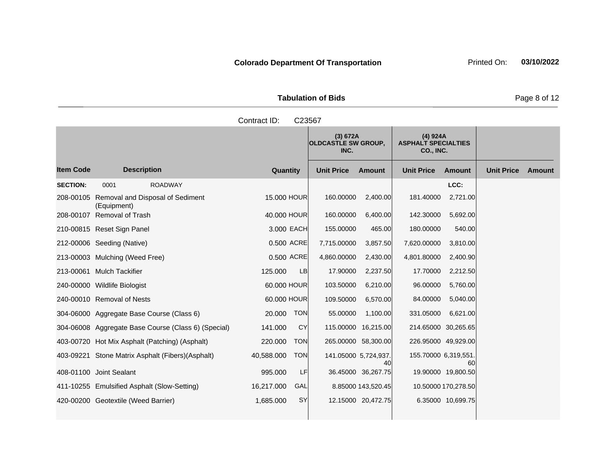| <b>Tabulation of Bids</b> |
|---------------------------|
|                           |

|                  |                                                           | Contract ID:             | C23567            |                                        |                      |                                                     |                   |        |
|------------------|-----------------------------------------------------------|--------------------------|-------------------|----------------------------------------|----------------------|-----------------------------------------------------|-------------------|--------|
|                  |                                                           |                          | INC.              | (3) 672A<br><b>OLDCASTLE SW GROUP,</b> |                      | (4) 924A<br><b>ASPHALT SPECIALTIES</b><br>CO., INC. |                   |        |
| <b>Item Code</b> | <b>Description</b>                                        | Quantity                 | <b>Unit Price</b> | <b>Amount</b>                          | <b>Unit Price</b>    | <b>Amount</b>                                       | <b>Unit Price</b> | Amount |
| <b>SECTION:</b>  | <b>ROADWAY</b><br>0001                                    |                          |                   |                                        |                      | LCC:                                                |                   |        |
|                  | 208-00105 Removal and Disposal of Sediment<br>(Equipment) | 15.000 HOUR              | 160.00000         | 2,400.00                               | 181.40000            | 2,721.00                                            |                   |        |
|                  | 208-00107 Removal of Trash                                | 40,000 HOUR              | 160.00000         | 6,400.00                               | 142.30000            | 5,692.00                                            |                   |        |
|                  | 210-00815 Reset Sign Panel                                | 3.000 EACH               | 155.00000         | 465.00                                 | 180.00000            | 540.00                                              |                   |        |
|                  | 212-00006 Seeding (Native)                                | 0.500 ACRE               | 7,715.00000       | 3,857.50                               | 7,620.00000          | 3,810.00                                            |                   |        |
|                  | 213-00003 Mulching (Weed Free)                            | 0.500 ACRE               | 4,860.00000       | 2,430.00                               | 4,801.80000          | 2,400.90                                            |                   |        |
|                  | 213-00061 Mulch Tackifier                                 | 125.000<br>LB            | 17.90000          | 2,237.50                               | 17.70000             | 2,212.50                                            |                   |        |
|                  | 240-00000 Wildlife Biologist                              | 60.000 HOUR              | 103.50000         | 6,210.00                               | 96.00000             | 5,760.00                                            |                   |        |
|                  | 240-00010 Removal of Nests                                | 60.000 HOUR              | 109.50000         | 6,570.00                               | 84.00000             | 5,040.00                                            |                   |        |
|                  | 304-06000 Aggregate Base Course (Class 6)                 | <b>TON</b><br>20.000     | 55.00000          | 1,100.00                               | 331.05000            | 6,621.00                                            |                   |        |
|                  | 304-06008 Aggregate Base Course (Class 6) (Special)       | 141.000<br>CY            |                   | 115.00000 16,215.00                    |                      | 214.65000 30,265.65                                 |                   |        |
|                  | 403-00720 Hot Mix Asphalt (Patching) (Asphalt)            | 220.000<br><b>TON</b>    |                   | 265.00000 58,300.00                    |                      | 226.95000 49,929.00                                 |                   |        |
|                  | 403-09221 Stone Matrix Asphalt (Fibers) (Asphalt)         | <b>TON</b><br>40,588.000 |                   | 141.05000 5,724,937<br>40              | 155.70000 6,319,551. | 60                                                  |                   |        |
|                  | 408-01100 Joint Sealant                                   | 995.000<br>LF            |                   | 36.45000 36,267.75                     |                      | 19.90000 19,800.50                                  |                   |        |
|                  | 411-10255 Emulsified Asphalt (Slow-Setting)               | 16,217.000<br>GAL        |                   | 8.85000 143,520.45                     |                      | 10.50000 170,278.50                                 |                   |        |
|                  | 420-00200 Geotextile (Weed Barrier)                       | SY<br>1,685.000          |                   | 12.15000 20,472.75                     |                      | 6.35000 10,699.75                                   |                   |        |
|                  |                                                           |                          |                   |                                        |                      |                                                     |                   |        |

**Page 8 of 12**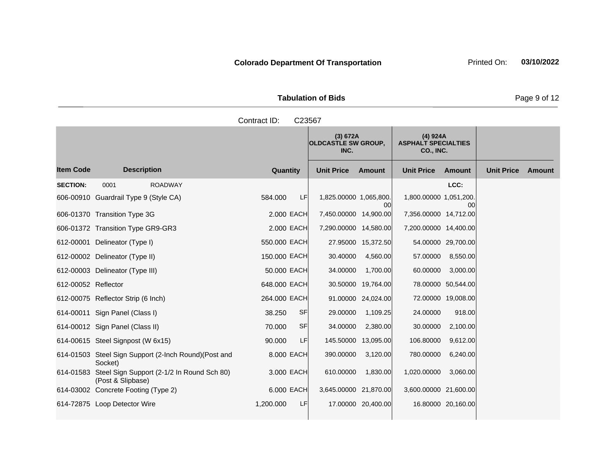**Tabulation of Bids** Page 9 of 12

|                     |                                                                           | Contract ID:    | C23567 |                                                |                    |                                                     |                    |                   |               |
|---------------------|---------------------------------------------------------------------------|-----------------|--------|------------------------------------------------|--------------------|-----------------------------------------------------|--------------------|-------------------|---------------|
|                     |                                                                           |                 |        | (3) 672A<br><b>OLDCASTLE SW GROUP,</b><br>INC. |                    | (4) 924A<br><b>ASPHALT SPECIALTIES</b><br>CO., INC. |                    |                   |               |
| <b>Item Code</b>    | <b>Description</b>                                                        | <b>Quantity</b> |        | <b>Unit Price</b>                              | <b>Amount</b>      | <b>Unit Price</b>                                   | <b>Amount</b>      | <b>Unit Price</b> | <b>Amount</b> |
| <b>SECTION:</b>     | <b>ROADWAY</b><br>0001                                                    |                 |        |                                                |                    |                                                     | LCC:               |                   |               |
|                     | 606-00910 Guardrail Type 9 (Style CA)                                     | 584.000         | LF.    | 1,825.00000 1,065,800.                         | 00l                | 1,800.00000 1,051,200.                              | 00                 |                   |               |
|                     | 606-01370 Transition Type 3G                                              | 2,000 EACH      |        | 7,450.00000 14,900.00                          |                    | 7,356.00000 14,712.00                               |                    |                   |               |
|                     | 606-01372 Transition Type GR9-GR3                                         | 2,000 EACH      |        | 7,290.00000 14,580.00                          |                    | 7,200.00000 14,400.00                               |                    |                   |               |
|                     | 612-00001 Delineator (Type I)                                             | 550.000 EACH    |        |                                                | 27.95000 15,372.50 |                                                     | 54.00000 29,700.00 |                   |               |
|                     | 612-00002 Delineator (Type II)                                            | 150,000 EACH    |        | 30.40000                                       | 4,560.00           | 57.00000                                            | 8,550.00           |                   |               |
|                     | 612-00003 Delineator (Type III)                                           | 50,000 EACH     |        | 34.00000                                       | 1,700.00           | 60.00000                                            | 3,000.00           |                   |               |
| 612-00052 Reflector |                                                                           | 648,000 EACH    |        |                                                | 30.50000 19,764.00 |                                                     | 78.00000 50,544.00 |                   |               |
|                     | 612-00075 Reflector Strip (6 Inch)                                        | 264,000 EACH    |        |                                                | 91.00000 24,024.00 |                                                     | 72.00000 19,008.00 |                   |               |
|                     | 614-00011 Sign Panel (Class I)                                            | 38.250          | SF     | 29.00000                                       | 1,109.25           | 24.00000                                            | 918.00             |                   |               |
|                     | 614-00012 Sign Panel (Class II)                                           | 70.000          | SF     | 34.00000                                       | 2,380.00           | 30.00000                                            | 2,100.00           |                   |               |
|                     | 614-00615 Steel Signpost (W 6x15)                                         | 90.000          | LF     | 145.50000                                      | 13,095.00          | 106.80000                                           | 9,612.00           |                   |               |
|                     | 614-01503 Steel Sign Support (2-Inch Round)(Post and<br>Socket)           | 8.000 EACH      |        | 390.00000                                      | 3,120.00           | 780.00000                                           | 6,240.00           |                   |               |
|                     | 614-01583 Steel Sign Support (2-1/2 In Round Sch 80)<br>(Post & Slipbase) | 3.000 EACH      |        | 610.00000                                      | 1,830.00           | 1,020.00000                                         | 3,060.00           |                   |               |

614-03002 Concrete Footing (Type 2) 6.000 EACH 3,645.00000 21,870.00 3,600.00000 21,600.00 614-72875 Loop Detector Wire 1,200.000 LF 17.00000 20,400.00 16.80000 20,160.00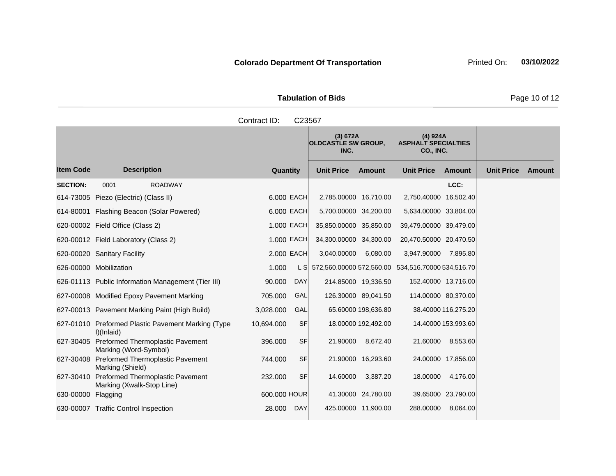|                     | <b>Tabulation of Bids</b> |  |
|---------------------|---------------------------|--|
| Contract ID: C23567 |                           |  |
|                     |                           |  |

|                    |                                                                  |              |            | (3) 672A<br><b>OLDCASTLE SW GROUP,</b><br>INC. |                     | (4) 924A<br><b>ASPHALT SPECIALTIES</b><br><b>CO., INC.</b> |                     |                   |        |
|--------------------|------------------------------------------------------------------|--------------|------------|------------------------------------------------|---------------------|------------------------------------------------------------|---------------------|-------------------|--------|
| <b>Item Code</b>   | <b>Description</b>                                               | Quantity     |            | <b>Unit Price</b>                              | Amount              | <b>Unit Price</b>                                          | <b>Amount</b>       | <b>Unit Price</b> | Amount |
| <b>SECTION:</b>    | 0001<br><b>ROADWAY</b>                                           |              |            |                                                |                     |                                                            | LCC:                |                   |        |
|                    | 614-73005 Piezo (Electric) (Class II)                            |              | 6.000 EACH | 2,785.00000 16,710.00                          |                     | 2,750.40000 16,502.40                                      |                     |                   |        |
|                    | 614-80001 Flashing Beacon (Solar Powered)                        |              | 6.000 EACH | 5,700.00000 34,200.00                          |                     | 5,634.00000 33,804.00                                      |                     |                   |        |
|                    | 620-00002 Field Office (Class 2)                                 |              | 1.000 EACH | 35,850.00000 35,850.00                         |                     | 39,479.00000 39,479.00                                     |                     |                   |        |
|                    | 620-00012 Field Laboratory (Class 2)                             |              | 1.000 EACH | 34,300.00000 34,300.00                         |                     | 20,470.50000 20,470.50                                     |                     |                   |        |
|                    | 620-00020 Sanitary Facility                                      |              | 2.000 EACH | 3,040.00000                                    | 6,080.00            | 3,947.90000                                                | 7,895.80            |                   |        |
|                    | 626-00000 Mobilization                                           | 1.000        |            | L S 572,560.00000 572,560.00                   |                     | 534,516.70000 534,516.70                                   |                     |                   |        |
|                    | 626-01113 Public Information Management (Tier III)               | 90.000       | <b>DAY</b> |                                                | 214.85000 19,336.50 | 152.40000 13,716.00                                        |                     |                   |        |
|                    | 627-00008 Modified Epoxy Pavement Marking                        | 705.000      | GAL        |                                                | 126.30000 89,041.50 | 114.00000 80,370.00                                        |                     |                   |        |
|                    | 627-00013 Pavement Marking Paint (High Build)                    | 3,028.000    | GAL        |                                                | 65.60000 198,636.80 |                                                            | 38.40000 116,275.20 |                   |        |
|                    | 627-01010 Preformed Plastic Pavement Marking (Type<br>I)(Inlaid) | 10,694.000   | <b>SF</b>  |                                                | 18.00000 192,492.00 |                                                            | 14.40000 153,993.60 |                   |        |
| 627-30405          | Preformed Thermoplastic Pavement<br>Marking (Word-Symbol)        | 396.000      | <b>SF</b>  | 21.90000                                       | 8,672.40            | 21.60000                                                   | 8,553.60            |                   |        |
|                    | 627-30408 Preformed Thermoplastic Pavement<br>Marking (Shield)   | 744.000      | <b>SF</b>  |                                                | 21.90000 16,293.60  |                                                            | 24.00000 17,856.00  |                   |        |
| 627-30410          | Preformed Thermoplastic Pavement<br>Marking (Xwalk-Stop Line)    | 232.000      | <b>SF</b>  | 14.60000                                       | 3,387.20            | 18.00000                                                   | 4,176.00            |                   |        |
| 630-00000 Flagging |                                                                  | 600.000 HOUR |            |                                                | 41.30000 24,780.00  |                                                            | 39.65000 23,790.00  |                   |        |
|                    | 630-00007 Traffic Control Inspection                             | 28,000       | DAY        |                                                | 425.00000 11,900.00 | 288.00000                                                  | 8,064.00            |                   |        |

**Tabulation of Bids** Page 10 of 12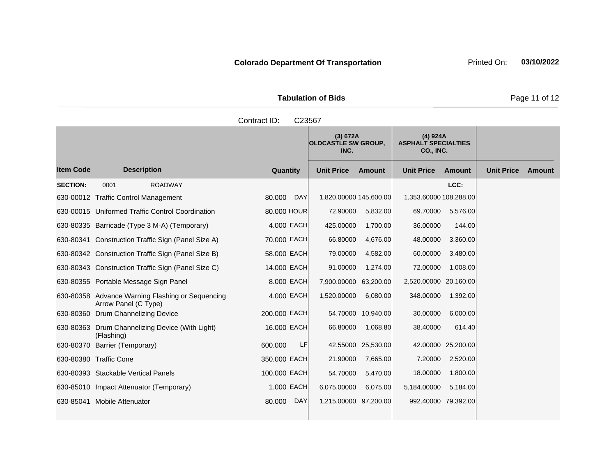**Tabulation of Bids** Page 11 of 12

| Contract ID:<br>C23567 |                                                    |                      |                                                                                                       |               |                        |               |                   |        |  |  |
|------------------------|----------------------------------------------------|----------------------|-------------------------------------------------------------------------------------------------------|---------------|------------------------|---------------|-------------------|--------|--|--|
|                        |                                                    |                      | (4) 924A<br>(3) 672A<br><b>OLDCASTLE SW GROUP.</b><br><b>ASPHALT SPECIALTIES</b><br>CO., INC.<br>INC. |               |                        |               |                   |        |  |  |
| <b>Item Code</b>       | <b>Description</b>                                 | Quantity             | <b>Unit Price</b>                                                                                     | <b>Amount</b> | <b>Unit Price</b>      | <b>Amount</b> | <b>Unit Price</b> | Amount |  |  |
| <b>SECTION:</b>        | <b>ROADWAY</b><br>0001                             |                      |                                                                                                       |               |                        | LCC:          |                   |        |  |  |
|                        | 630-00012 Traffic Control Management               | <b>DAY</b><br>80.000 | 1,820.00000 145,600.00                                                                                |               | 1,353.60000 108,288.00 |               |                   |        |  |  |
|                        | 630-00015 Uniformed Traffic Control Coordination   | 80,000 HOUR          | 72.90000                                                                                              | 5,832.00      | 69.70000               | 5,576.00      |                   |        |  |  |
|                        | 630-80335 Barricade (Type 3 M-A) (Temporary)       | 4.000 EACH           | 425.00000                                                                                             | 1,700.00      | 36.00000               | 144.00        |                   |        |  |  |
|                        | 630-80341 Construction Traffic Sign (Panel Size A) | 70.000 EACH          | 66.80000                                                                                              | 4,676.00      | 48.00000               | 3,360.00      |                   |        |  |  |
|                        | 630-80342 Construction Traffic Sign (Panel Size B) | 58.000 EACH          | 79.00000                                                                                              | 4,582.00      | 60.00000               | 3,480.00      |                   |        |  |  |
|                        | 630-80343 Construction Traffic Sign (Panel Size C) | 14.000 EACH          | 91.00000                                                                                              | 1,274.00      | 72.00000               | 1,008.00      |                   |        |  |  |

4.000 EACH 1,520.00000 6,080.00 348.00000 1,392.00

16.000 EACH 66.80000 1,068.80 38.40000 614.40

630-80355 Portable Message Sign Panel 8.000 EACH 7,900.00000 63,200.00 2,520.00000 20,160.00

630-80360 Drum Channelizing Device 200.000 EACH 54.70000 10,940.00 30.00000 6,000.00

630-80370 Barrier (Temporary) 600.000 LF 42.55000 25,530.00 42.00000 25,200.00 630-80380 Traffic Cone 350.000 EACH 21.90000 7,665.00 7.20000 2,520.00 630-80393 Stackable Vertical Panels 100.000 EACH 54.70000 5,470.00 18.00000 1,800.00 630-85010 Impact Attenuator (Temporary) 1.000 EACH 6,075.00000 6,075.00 5,184.00000 5,184.00 630-85041 Mobile Attenuator 80.000 DAY 1,215.00000 97,200.00 992.40000 79,392.00

630-80358 Advance Warning Flashing or Sequencing Arrow Panel (C Type)

630-80363 Drum Channelizing Device (With Light)

(Flashing)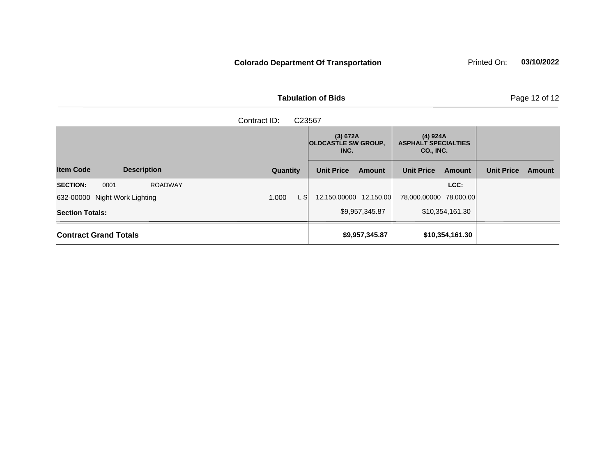|                     | <b>Tabulation of Bids</b> |  |
|---------------------|---------------------------|--|
| Contract ID: C23567 |                           |  |
|                     |                           |  |

|                                           |               | (3) 672A<br><b>OLDCASTLE SW GROUP,</b><br>INC. |                | (4) 924A<br><b>ASPHALT SPECIALTIES</b><br>CO., INC. |                 |                   |               |
|-------------------------------------------|---------------|------------------------------------------------|----------------|-----------------------------------------------------|-----------------|-------------------|---------------|
| <b>Item Code</b><br><b>Description</b>    | Quantity      | <b>Unit Price</b>                              | Amount         | <b>Unit Price</b>                                   | <b>Amount</b>   | <b>Unit Price</b> | <b>Amount</b> |
| <b>ROADWAY</b><br><b>SECTION:</b><br>0001 |               |                                                |                |                                                     | LCC:            |                   |               |
| 632-00000 Night Work Lighting             | 1.000<br>L Sl | 12,150.00000 12,150.00                         |                | 78,000.00000 78,000.00                              |                 |                   |               |
| <b>Section Totals:</b>                    |               |                                                | \$9,957,345.87 |                                                     | \$10,354,161.30 |                   |               |
| <b>Contract Grand Totals</b>              |               |                                                | \$9,957,345.87 |                                                     | \$10,354,161.30 |                   |               |

**Page 12 of 12**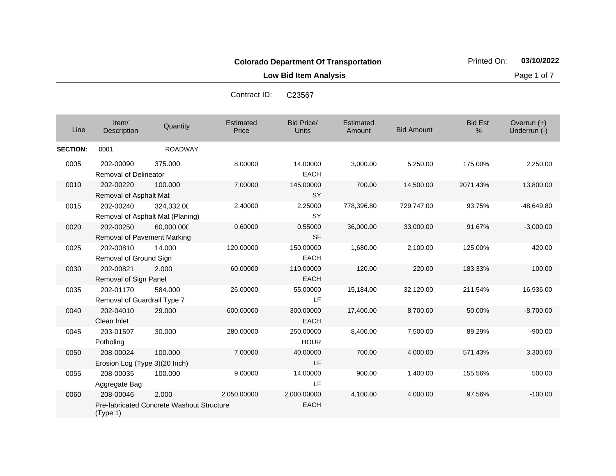**Low Bid Item Analysis Page 1 of 7** 

Contract ID: C23567

| Line            | Item/<br>Description                       | Quantity                                       | Estimated<br>Price | <b>Bid Price/</b><br>Units | Estimated<br>Amount | <b>Bid Amount</b> | <b>Bid Est</b><br>% | Overrun $(+)$<br>Underrun (-) |
|-----------------|--------------------------------------------|------------------------------------------------|--------------------|----------------------------|---------------------|-------------------|---------------------|-------------------------------|
| <b>SECTION:</b> | 0001                                       | <b>ROADWAY</b>                                 |                    |                            |                     |                   |                     |                               |
| 0005            | 202-00090<br>Removal of Delineator         | 375,000                                        | 8.00000            | 14.00000<br><b>EACH</b>    | 3,000.00            | 5,250.00          | 175.00%             | 2,250.00                      |
| 0010            | 202-00220<br>Removal of Asphalt Mat        | 100.000                                        | 7.00000            | 145.00000<br><b>SY</b>     | 700.00              | 14,500.00         | 2071.43%            | 13,800.00                     |
| 0015            | 202-00240                                  | 324,332.00<br>Removal of Asphalt Mat (Planing) | 2.40000            | 2.25000<br>SY              | 778,396.80          | 729,747.00        | 93.75%              | $-48,649.80$                  |
| 0020            | 202-00250<br>Removal of Pavement Marking   | 60,000.000                                     | 0.60000            | 0.55000<br><b>SF</b>       | 36,000.00           | 33,000.00         | 91.67%              | $-3,000.00$                   |
| 0025            | 202-00810<br>Removal of Ground Sign        | 14.000                                         | 120.00000          | 150.00000<br><b>EACH</b>   | 1,680.00            | 2,100.00          | 125.00%             | 420.00                        |
| 0030            | 202-00821<br>Removal of Sign Panel         | 2.000                                          | 60.00000           | 110.00000<br><b>EACH</b>   | 120.00              | 220.00            | 183.33%             | 100.00                        |
| 0035            | 202-01170<br>Removal of Guardrail Type 7   | 584.000                                        | 26.00000           | 55.00000<br>LF             | 15,184.00           | 32,120.00         | 211.54%             | 16,936.00                     |
| 0040            | 202-04010<br>Clean Inlet                   | 29,000                                         | 600.00000          | 300.00000<br><b>EACH</b>   | 17,400.00           | 8,700.00          | 50.00%              | $-8,700.00$                   |
| 0045            | 203-01597<br>Potholing                     | 30.000                                         | 280.00000          | 250.00000<br><b>HOUR</b>   | 8,400.00            | 7,500.00          | 89.29%              | $-900.00$                     |
| 0050            | 208-00024<br>Erosion Log (Type 3)(20 Inch) | 100.000                                        | 7.00000            | 40.00000<br>LF             | 700.00              | 4,000.00          | 571.43%             | 3,300.00                      |
| 0055            | 208-00035<br>Aggregate Bag                 | 100.000                                        | 9.00000            | 14.00000<br>LF             | 900.00              | 1,400.00          | 155.56%             | 500.00                        |
| 0060            | 208-00046                                  | 2.000                                          | 2,050.00000        | 2.000.00000                | 4,100.00            | 4,000.00          | 97.56%              | $-100.00$                     |

EACH

Pre-fabricated Concrete Washout Structure

(Type 1)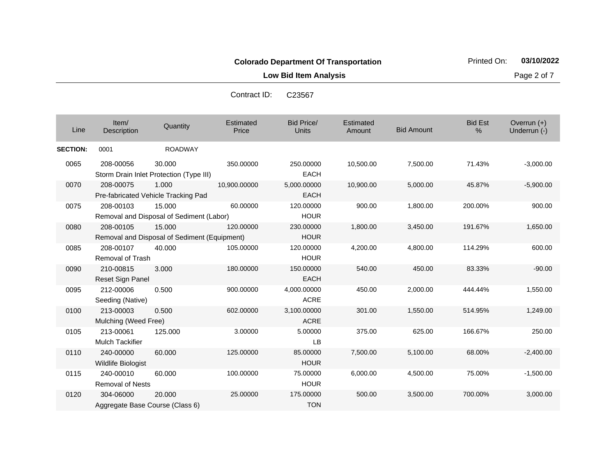**Low Bid Item Analysis Page 2 of 7** 

| Line            | Item/<br>Description                         | Quantity                                               | Estimated<br>Price | <b>Bid Price/</b><br><b>Units</b> | Estimated<br>Amount | <b>Bid Amount</b> | <b>Bid Est</b><br>% | Overrun (+)<br>Underrun (-) |
|-----------------|----------------------------------------------|--------------------------------------------------------|--------------------|-----------------------------------|---------------------|-------------------|---------------------|-----------------------------|
| <b>SECTION:</b> | 0001                                         | <b>ROADWAY</b>                                         |                    |                                   |                     |                   |                     |                             |
| 0065            | 208-00056                                    | 30.000<br>Storm Drain Inlet Protection (Type III)      | 350.00000          | 250.00000<br><b>EACH</b>          | 10,500.00           | 7,500.00          | 71.43%              | $-3,000.00$                 |
| 0070            | 208-00075                                    | 1.000<br>Pre-fabricated Vehicle Tracking Pad           | 10,900.00000       | 5,000.00000<br><b>EACH</b>        | 10,900.00           | 5,000.00          | 45.87%              | $-5,900.00$                 |
| 0075            | 208-00103                                    | 15.000<br>Removal and Disposal of Sediment (Labor)     | 60.00000           | 120.00000<br><b>HOUR</b>          | 900.00              | 1,800.00          | 200.00%             | 900.00                      |
| 0080            | 208-00105                                    | 15.000<br>Removal and Disposal of Sediment (Equipment) | 120,00000          | 230.00000<br><b>HOUR</b>          | 1,800.00            | 3,450.00          | 191.67%             | 1,650.00                    |
| 0085            | 208-00107<br><b>Removal of Trash</b>         | 40.000                                                 | 105.00000          | 120.00000<br><b>HOUR</b>          | 4,200.00            | 4,800.00          | 114.29%             | 600.00                      |
| 0090            | 210-00815<br>Reset Sign Panel                | 3.000                                                  | 180.00000          | 150.00000<br><b>EACH</b>          | 540.00              | 450.00            | 83.33%              | $-90.00$                    |
| 0095            | 212-00006<br>Seeding (Native)                | 0.500                                                  | 900.00000          | 4,000.00000<br><b>ACRE</b>        | 450.00              | 2,000.00          | 444.44%             | 1,550.00                    |
| 0100            | 213-00003<br>Mulching (Weed Free)            | 0.500                                                  | 602.00000          | 3,100.00000<br><b>ACRE</b>        | 301.00              | 1,550.00          | 514.95%             | 1,249.00                    |
| 0105            | 213-00061<br><b>Mulch Tackifier</b>          | 125.000                                                | 3.00000            | 5.00000<br>LB                     | 375.00              | 625.00            | 166.67%             | 250.00                      |
| 0110            | 240-00000<br><b>Wildlife Biologist</b>       | 60.000                                                 | 125.00000          | 85.00000<br><b>HOUR</b>           | 7,500.00            | 5,100.00          | 68.00%              | $-2,400.00$                 |
| 0115            | 240-00010<br><b>Removal of Nests</b>         | 60.000                                                 | 100.00000          | 75.00000<br><b>HOUR</b>           | 6,000.00            | 4,500.00          | 75.00%              | $-1,500.00$                 |
| 0120            | 304-06000<br>Aggregate Base Course (Class 6) | 20.000                                                 | 25.00000           | 175.00000<br><b>TON</b>           | 500.00              | 3,500.00          | 700.00%             | 3,000.00                    |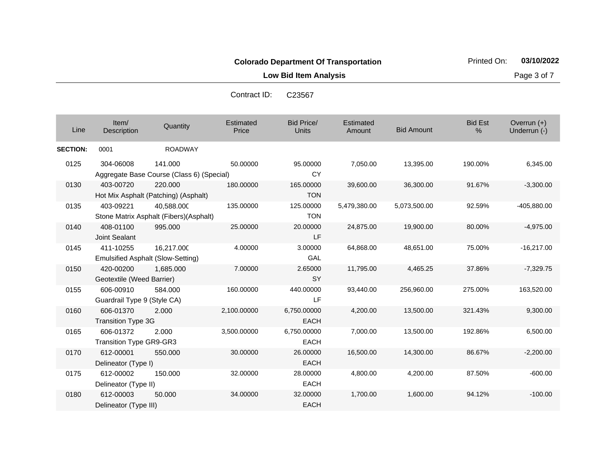**Low Bid Item Analysis Page 3 of 7** 

| Line            | Item/<br>Description                     | Quantity                                               | Estimated<br>Price | Bid Price/<br>Units        | Estimated<br>Amount | <b>Bid Amount</b> | <b>Bid Est</b><br>% | Overrun $(+)$<br>Underrun (-) |
|-----------------|------------------------------------------|--------------------------------------------------------|--------------------|----------------------------|---------------------|-------------------|---------------------|-------------------------------|
| <b>SECTION:</b> | 0001                                     | <b>ROADWAY</b>                                         |                    |                            |                     |                   |                     |                               |
| 0125            | 304-06008                                | 141.000<br>Aggregate Base Course (Class 6) (Special)   | 50.00000           | 95.00000<br><b>CY</b>      | 7,050.00            | 13,395.00         | 190.00%             | 6,345.00                      |
| 0130            | 403-00720                                | 220,000<br>Hot Mix Asphalt (Patching) (Asphalt)        | 180.00000          | 165.00000<br><b>TON</b>    | 39,600.00           | 36,300.00         | 91.67%              | $-3,300.00$                   |
| 0135            | 403-09221                                | 40,588.000<br>Stone Matrix Asphalt (Fibers)(Asphalt)   | 135.00000          | 125.00000<br><b>TON</b>    | 5,479,380.00        | 5,073,500.00      | 92.59%              | -405,880.00                   |
| 0140            | 408-01100<br>Joint Sealant               | 995,000                                                | 25.00000           | 20.00000<br>LF             | 24,875.00           | 19,900.00         | 80.00%              | $-4,975.00$                   |
| 0145            | 411-10255                                | 16,217.000<br><b>Emulsified Asphalt (Slow-Setting)</b> | 4.00000            | 3.00000<br><b>GAL</b>      | 64,868.00           | 48,651.00         | 75.00%              | $-16,217.00$                  |
| 0150            | 420-00200<br>Geotextile (Weed Barrier)   | 1,685.000                                              | 7.00000            | 2.65000<br><b>SY</b>       | 11,795.00           | 4,465.25          | 37.86%              | $-7,329.75$                   |
| 0155            | 606-00910<br>Guardrail Type 9 (Style CA) | 584.000                                                | 160.00000          | 440.00000<br><b>LF</b>     | 93,440.00           | 256,960.00        | 275.00%             | 163,520.00                    |
| 0160            | 606-01370<br><b>Transition Type 3G</b>   | 2.000                                                  | 2,100.00000        | 6,750,00000<br><b>EACH</b> | 4,200.00            | 13,500.00         | 321.43%             | 9,300.00                      |
| 0165            | 606-01372<br>Transition Type GR9-GR3     | 2.000                                                  | 3,500.00000        | 6,750.00000<br><b>EACH</b> | 7,000.00            | 13,500.00         | 192.86%             | 6,500.00                      |
| 0170            | 612-00001<br>Delineator (Type I)         | 550,000                                                | 30.00000           | 26.00000<br><b>EACH</b>    | 16,500.00           | 14,300.00         | 86.67%              | $-2,200.00$                   |
| 0175            | 612-00002<br>Delineator (Type II)        | 150.000                                                | 32.00000           | 28.00000<br><b>EACH</b>    | 4,800.00            | 4,200.00          | 87.50%              | $-600.00$                     |
| 0180            | 612-00003<br>Delineator (Type III)       | 50,000                                                 | 34.00000           | 32.00000<br><b>EACH</b>    | 1,700.00            | 1,600.00          | 94.12%              | $-100.00$                     |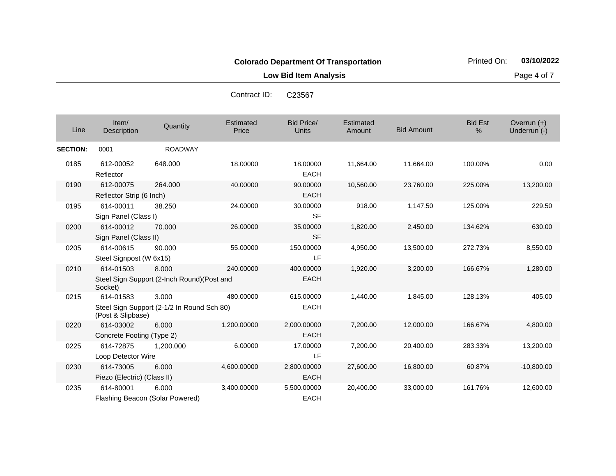**Low Bid Item Analysis Page 4 of 7** 

| Line            | Item/<br>Description                     | Quantity                                             | Estimated<br>Price | <b>Bid Price/</b><br><b>Units</b> | <b>Estimated</b><br>Amount | <b>Bid Amount</b> | <b>Bid Est</b><br>% | Overrun (+)<br>Underrun (-) |
|-----------------|------------------------------------------|------------------------------------------------------|--------------------|-----------------------------------|----------------------------|-------------------|---------------------|-----------------------------|
| <b>SECTION:</b> | 0001                                     | <b>ROADWAY</b>                                       |                    |                                   |                            |                   |                     |                             |
| 0185            | 612-00052<br>Reflector                   | 648.000                                              | 18.00000           | 18.00000<br><b>EACH</b>           | 11,664.00                  | 11,664.00         | 100.00%             | 0.00                        |
| 0190            | 612-00075<br>Reflector Strip (6 Inch)    | 264.000                                              | 40.00000           | 90.00000<br><b>EACH</b>           | 10,560.00                  | 23,760.00         | 225.00%             | 13,200.00                   |
| 0195            | 614-00011<br>Sign Panel (Class I)        | 38.250                                               | 24.00000           | 30.00000<br><b>SF</b>             | 918.00                     | 1,147.50          | 125.00%             | 229.50                      |
| 0200            | 614-00012<br>Sign Panel (Class II)       | 70.000                                               | 26.00000           | 35.00000<br><b>SF</b>             | 1,820.00                   | 2,450.00          | 134.62%             | 630.00                      |
| 0205            | 614-00615<br>Steel Signpost (W 6x15)     | 90.000                                               | 55.00000           | 150.00000<br>LF                   | 4,950.00                   | 13,500.00         | 272.73%             | 8,550.00                    |
| 0210            | 614-01503<br>Socket)                     | 8.000<br>Steel Sign Support (2-Inch Round) (Post and | 240.00000          | 400.00000<br><b>EACH</b>          | 1,920.00                   | 3,200.00          | 166.67%             | 1,280.00                    |
| 0215            | 614-01583<br>(Post & Slipbase)           | 3.000<br>Steel Sign Support (2-1/2 In Round Sch 80)  | 480.00000          | 615.00000<br><b>EACH</b>          | 1,440.00                   | 1,845.00          | 128.13%             | 405.00                      |
| 0220            | 614-03002<br>Concrete Footing (Type 2)   | 6.000                                                | 1,200.00000        | 2,000.00000<br><b>EACH</b>        | 7,200.00                   | 12,000.00         | 166.67%             | 4,800.00                    |
| 0225            | 614-72875<br>Loop Detector Wire          | 1.200.000                                            | 6.00000            | 17.00000<br>LF                    | 7,200.00                   | 20,400.00         | 283.33%             | 13,200.00                   |
| 0230            | 614-73005<br>Piezo (Electric) (Class II) | 6.000                                                | 4,600.00000        | 2,800.00000<br><b>EACH</b>        | 27,600.00                  | 16,800.00         | 60.87%              | $-10,800.00$                |
| 0235            | 614-80001                                | 6.000<br>Flashing Beacon (Solar Powered)             | 3,400.00000        | 5,500.00000<br><b>EACH</b>        | 20,400.00                  | 33,000.00         | 161.76%             | 12,600.00                   |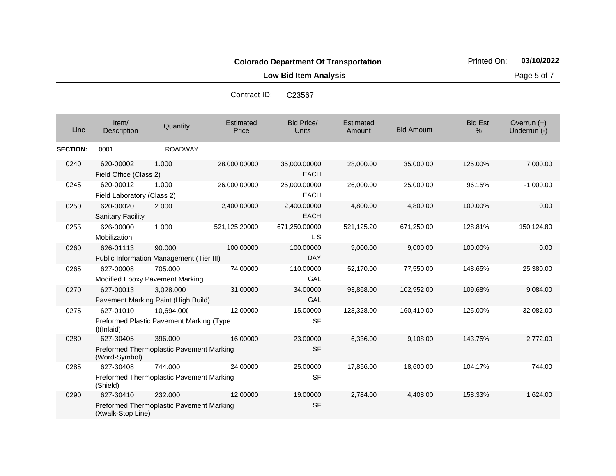**Low Bid Item Analysis Page 5 of 7** 

|                 |                                         |                                                            | Contract ID.              | ∪∠ऽऽ०7                            |                     |                   |                     |                               |
|-----------------|-----------------------------------------|------------------------------------------------------------|---------------------------|-----------------------------------|---------------------|-------------------|---------------------|-------------------------------|
| Line            | Item/<br>Description                    | Quantity                                                   | <b>Estimated</b><br>Price | <b>Bid Price/</b><br><b>Units</b> | Estimated<br>Amount | <b>Bid Amount</b> | <b>Bid Est</b><br>% | Overrun $(+)$<br>Underrun (-) |
| <b>SECTION:</b> | 0001                                    | <b>ROADWAY</b>                                             |                           |                                   |                     |                   |                     |                               |
| 0240            | 620-00002<br>Field Office (Class 2)     | 1.000                                                      | 28,000.00000              | 35,000.00000<br><b>EACH</b>       | 28,000.00           | 35,000.00         | 125.00%             | 7,000.00                      |
| 0245            | 620-00012<br>Field Laboratory (Class 2) | 1.000                                                      | 26,000.00000              | 25,000.00000<br><b>EACH</b>       | 26,000.00           | 25,000.00         | 96.15%              | $-1,000.00$                   |
| 0250            | 620-00020<br><b>Sanitary Facility</b>   | 2.000                                                      | 2,400.00000               | 2,400.00000<br><b>EACH</b>        | 4,800.00            | 4,800.00          | 100.00%             | 0.00                          |
| 0255            | 626-00000<br>Mobilization               | 1.000                                                      | 521,125.20000             | 671,250.00000<br>L S              | 521,125.20          | 671,250.00        | 128.81%             | 150,124.80                    |
| 0260            | 626-01113                               | 90,000<br>Public Information Management (Tier III)         | 100.00000                 | 100.00000<br><b>DAY</b>           | 9,000.00            | 9,000.00          | 100.00%             | 0.00                          |
| 0265            | 627-00008                               | 705.000<br>Modified Epoxy Pavement Marking                 | 74.00000                  | 110.00000<br>GAL                  | 52,170.00           | 77,550.00         | 148.65%             | 25,380.00                     |
| 0270            | 627-00013                               | 3,028.000<br>Pavement Marking Paint (High Build)           | 31.00000                  | 34.00000<br>GAL                   | 93,868.00           | 102,952.00        | 109.68%             | 9,084.00                      |
| 0275            | 627-01010<br>I)(Inlaid)                 | 10,694.000<br>Preformed Plastic Pavement Marking (Type     | 12.00000                  | 15.00000<br><b>SF</b>             | 128,328.00          | 160,410.00        | 125.00%             | 32,082.00                     |
| 0280            | 627-30405<br>(Word-Symbol)              | 396,000<br>Preformed Thermoplastic Pavement Marking        | 16.00000                  | 23.00000<br><b>SF</b>             | 6,336.00            | 9,108.00          | 143.75%             | 2,772.00                      |
| 0285            | 627-30408<br>(Shield)                   | 744.000<br>Preformed Thermoplastic Pavement Marking        | 24.00000                  | 25.00000<br><b>SF</b>             | 17,856.00           | 18,600.00         | 104.17%             | 744.00                        |
| 0290            | 627-30410<br>(Xwalk-Stop Line)          | 232,000<br><b>Preformed Thermoplastic Pavement Marking</b> | 12.00000                  | 19.00000<br><b>SF</b>             | 2,784.00            | 4,408.00          | 158.33%             | 1,624.00                      |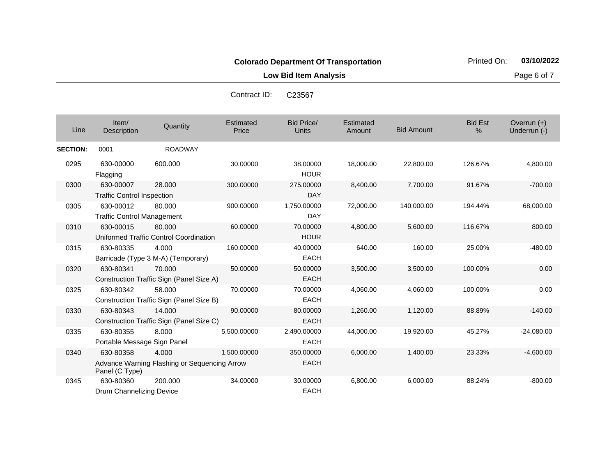**Low Bid Item Analysis Page 6 of 7** 

| Line            | Item/<br>Description                           | Quantity                                              | Estimated<br>Price | <b>Bid Price/</b><br><b>Units</b> | Estimated<br>Amount | <b>Bid Amount</b> | <b>Bid Est</b><br>% | Overrun (+)<br>Underrun (-) |
|-----------------|------------------------------------------------|-------------------------------------------------------|--------------------|-----------------------------------|---------------------|-------------------|---------------------|-----------------------------|
| <b>SECTION:</b> | 0001                                           | <b>ROADWAY</b>                                        |                    |                                   |                     |                   |                     |                             |
| 0295            | 630-00000<br>Flagging                          | 600.000                                               | 30.00000           | 38.00000<br><b>HOUR</b>           | 18,000.00           | 22,800.00         | 126.67%             | 4,800.00                    |
| 0300            | 630-00007<br><b>Traffic Control Inspection</b> | 28,000                                                | 300.00000          | 275.00000<br><b>DAY</b>           | 8,400.00            | 7,700.00          | 91.67%              | $-700.00$                   |
| 0305            | 630-00012<br><b>Traffic Control Management</b> | 80.000                                                | 900.00000          | 1,750.00000<br><b>DAY</b>         | 72,000.00           | 140,000.00        | 194.44%             | 68,000.00                   |
| 0310            | 630-00015                                      | 80,000<br>Uniformed Traffic Control Coordination      | 60.00000           | 70.00000<br><b>HOUR</b>           | 4,800.00            | 5,600.00          | 116.67%             | 800.00                      |
| 0315            | 630-80335                                      | 4.000<br>Barricade (Type 3 M-A) (Temporary)           | 160.00000          | 40.00000<br><b>EACH</b>           | 640.00              | 160.00            | 25.00%              | $-480.00$                   |
| 0320            | 630-80341                                      | 70.000<br>Construction Traffic Sign (Panel Size A)    | 50.00000           | 50.00000<br><b>EACH</b>           | 3,500.00            | 3,500.00          | 100.00%             | 0.00                        |
| 0325            | 630-80342                                      | 58.000<br>Construction Traffic Sign (Panel Size B)    | 70.00000           | 70.00000<br><b>EACH</b>           | 4,060.00            | 4,060.00          | 100.00%             | 0.00                        |
| 0330            | 630-80343                                      | 14.000<br>Construction Traffic Sign (Panel Size C)    | 90.00000           | 80.00000<br><b>EACH</b>           | 1,260.00            | 1,120.00          | 88.89%              | $-140.00$                   |
| 0335            | 630-80355<br>Portable Message Sign Panel       | 8.000                                                 | 5,500.00000        | 2,490.00000<br><b>EACH</b>        | 44,000.00           | 19,920.00         | 45.27%              | $-24,080.00$                |
| 0340            | 630-80358<br>Panel (C Type)                    | 4.000<br>Advance Warning Flashing or Sequencing Arrow | 1,500.00000        | 350.00000<br><b>EACH</b>          | 6,000.00            | 1,400.00          | 23.33%              | $-4,600.00$                 |
| 0345            | 630-80360<br>Drum Channelizing Device          | 200.000                                               | 34.00000           | 30.00000<br><b>EACH</b>           | 6,800.00            | 6,000.00          | 88.24%              | $-800.00$                   |